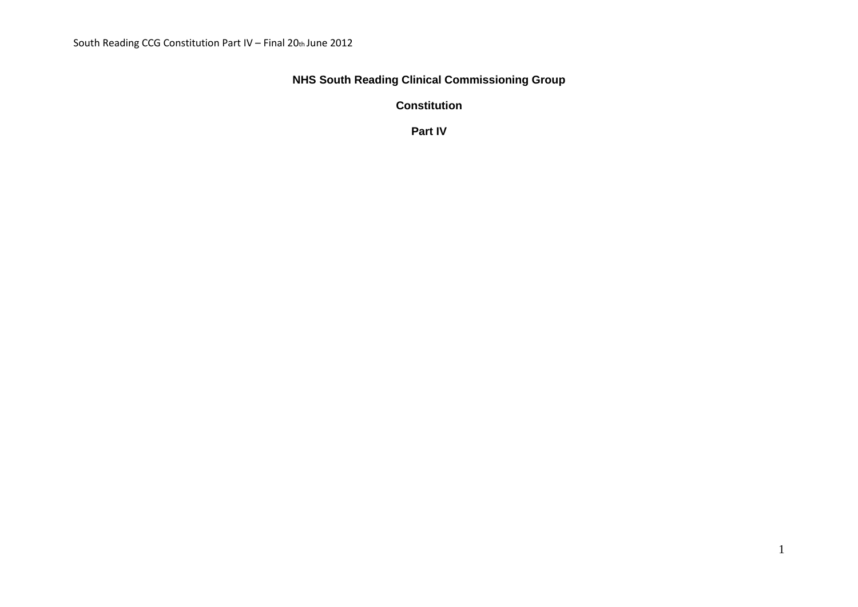## **NHS South Reading Clinical Commissioning Group**

**Constitution**

**Part IV**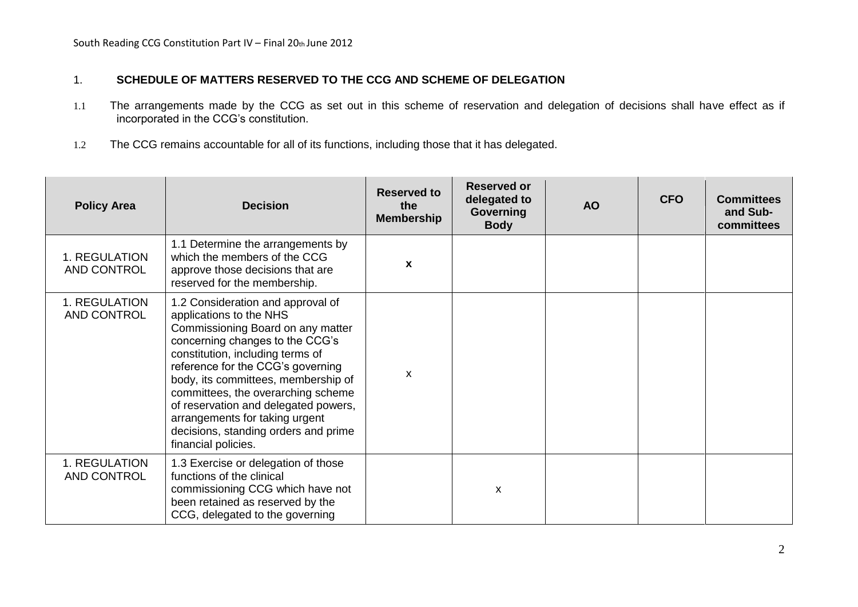## 1. **SCHEDULE OF MATTERS RESERVED TO THE CCG AND SCHEME OF DELEGATION**

- 1.1 The arrangements made by the CCG as set out in this scheme of reservation and delegation of decisions shall have effect as if incorporated in the CCG's constitution.
- 1.2 The CCG remains accountable for all of its functions, including those that it has delegated.

| <b>Policy Area</b>           | <b>Decision</b>                                                                                                                                                                                                                                                                                                                                                                                                                     | <b>Reserved to</b><br>the<br><b>Membership</b> | <b>Reserved or</b><br>delegated to<br>Governing<br><b>Body</b> | <b>AO</b> | <b>CFO</b> | <b>Committees</b><br>and Sub-<br>committees |
|------------------------------|-------------------------------------------------------------------------------------------------------------------------------------------------------------------------------------------------------------------------------------------------------------------------------------------------------------------------------------------------------------------------------------------------------------------------------------|------------------------------------------------|----------------------------------------------------------------|-----------|------------|---------------------------------------------|
| 1. REGULATION<br>AND CONTROL | 1.1 Determine the arrangements by<br>which the members of the CCG<br>approve those decisions that are<br>reserved for the membership.                                                                                                                                                                                                                                                                                               | $\mathbf{x}$                                   |                                                                |           |            |                                             |
| 1. REGULATION<br>AND CONTROL | 1.2 Consideration and approval of<br>applications to the NHS<br>Commissioning Board on any matter<br>concerning changes to the CCG's<br>constitution, including terms of<br>reference for the CCG's governing<br>body, its committees, membership of<br>committees, the overarching scheme<br>of reservation and delegated powers,<br>arrangements for taking urgent<br>decisions, standing orders and prime<br>financial policies. | X                                              |                                                                |           |            |                                             |
| 1. REGULATION<br>AND CONTROL | 1.3 Exercise or delegation of those<br>functions of the clinical<br>commissioning CCG which have not<br>been retained as reserved by the<br>CCG, delegated to the governing                                                                                                                                                                                                                                                         |                                                | $\boldsymbol{\mathsf{x}}$                                      |           |            |                                             |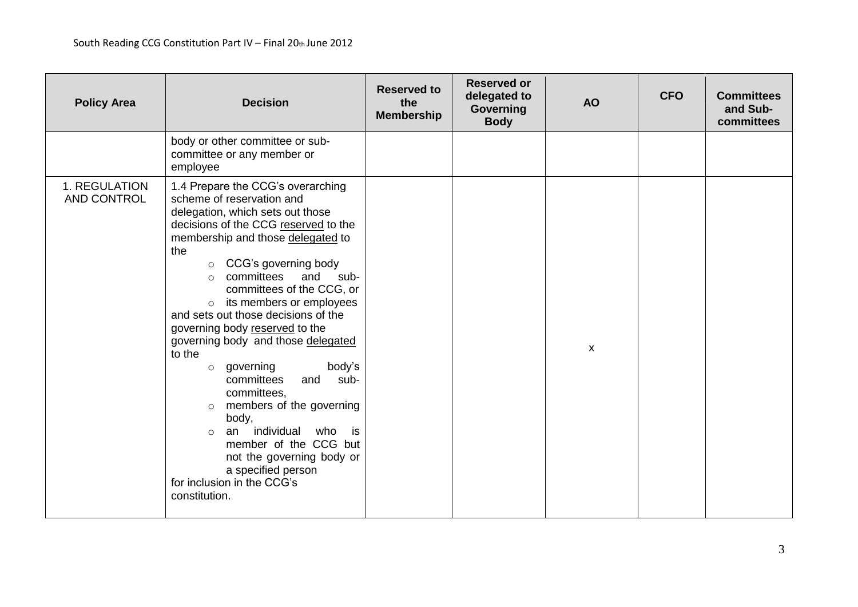| <b>Policy Area</b>           | <b>Decision</b>                                                                                                                                                                                                                                                                                                                                                                                                                                                                                                                                                                                                                                                                                                                                            | <b>Reserved to</b><br>the<br><b>Membership</b> | <b>Reserved or</b><br>delegated to<br>Governing<br><b>Body</b> | <b>AO</b> | <b>CFO</b> | <b>Committees</b><br>and Sub-<br>committees |
|------------------------------|------------------------------------------------------------------------------------------------------------------------------------------------------------------------------------------------------------------------------------------------------------------------------------------------------------------------------------------------------------------------------------------------------------------------------------------------------------------------------------------------------------------------------------------------------------------------------------------------------------------------------------------------------------------------------------------------------------------------------------------------------------|------------------------------------------------|----------------------------------------------------------------|-----------|------------|---------------------------------------------|
|                              | body or other committee or sub-<br>committee or any member or<br>employee                                                                                                                                                                                                                                                                                                                                                                                                                                                                                                                                                                                                                                                                                  |                                                |                                                                |           |            |                                             |
| 1. REGULATION<br>AND CONTROL | 1.4 Prepare the CCG's overarching<br>scheme of reservation and<br>delegation, which sets out those<br>decisions of the CCG reserved to the<br>membership and those delegated to<br>the<br>CCG's governing body<br>$\circ$<br>committees<br>and<br>sub-<br>$\circ$<br>committees of the CCG, or<br>its members or employees<br>$\circ$<br>and sets out those decisions of the<br>governing body reserved to the<br>governing body and those delegated<br>to the<br>o governing<br>body's<br>committees<br>and<br>sub-<br>committees,<br>members of the governing<br>$\circ$<br>body,<br>individual<br>who<br>is<br>an<br>$\circ$<br>member of the CCG but<br>not the governing body or<br>a specified person<br>for inclusion in the CCG's<br>constitution. |                                                |                                                                | X         |            |                                             |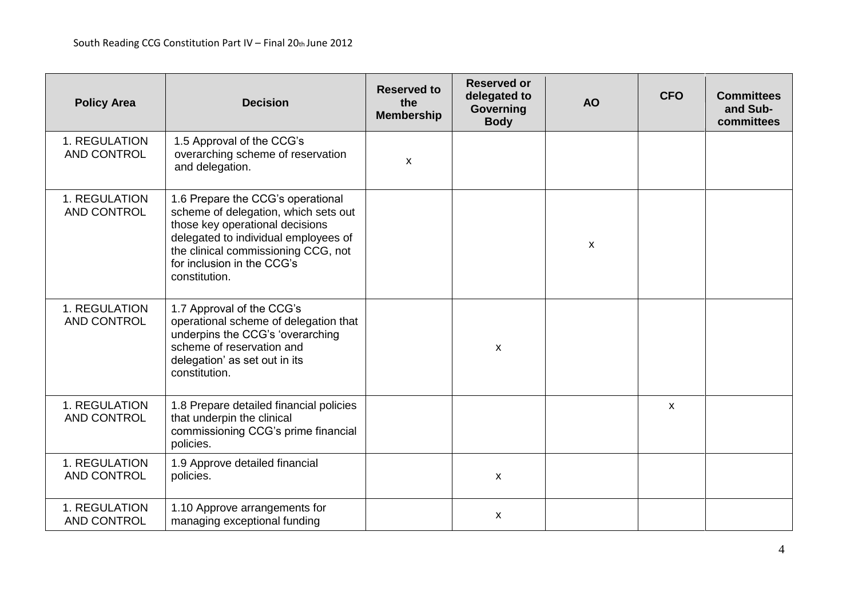| <b>Policy Area</b>                  | <b>Decision</b>                                                                                                                                                                                                                            | <b>Reserved to</b><br>the<br><b>Membership</b> | <b>Reserved or</b><br>delegated to<br>Governing<br><b>Body</b> | <b>AO</b> | <b>CFO</b>                | <b>Committees</b><br>and Sub-<br>committees |
|-------------------------------------|--------------------------------------------------------------------------------------------------------------------------------------------------------------------------------------------------------------------------------------------|------------------------------------------------|----------------------------------------------------------------|-----------|---------------------------|---------------------------------------------|
| 1. REGULATION<br><b>AND CONTROL</b> | 1.5 Approval of the CCG's<br>overarching scheme of reservation<br>and delegation.                                                                                                                                                          | X                                              |                                                                |           |                           |                                             |
| 1. REGULATION<br>AND CONTROL        | 1.6 Prepare the CCG's operational<br>scheme of delegation, which sets out<br>those key operational decisions<br>delegated to individual employees of<br>the clinical commissioning CCG, not<br>for inclusion in the CCG's<br>constitution. |                                                |                                                                | X         |                           |                                             |
| 1. REGULATION<br>AND CONTROL        | 1.7 Approval of the CCG's<br>operational scheme of delegation that<br>underpins the CCG's 'overarching<br>scheme of reservation and<br>delegation' as set out in its<br>constitution.                                                      |                                                | $\boldsymbol{\mathsf{x}}$                                      |           |                           |                                             |
| 1. REGULATION<br>AND CONTROL        | 1.8 Prepare detailed financial policies<br>that underpin the clinical<br>commissioning CCG's prime financial<br>policies.                                                                                                                  |                                                |                                                                |           | $\boldsymbol{\mathsf{x}}$ |                                             |
| 1. REGULATION<br>AND CONTROL        | 1.9 Approve detailed financial<br>policies.                                                                                                                                                                                                |                                                | X                                                              |           |                           |                                             |
| 1. REGULATION<br><b>AND CONTROL</b> | 1.10 Approve arrangements for<br>managing exceptional funding                                                                                                                                                                              |                                                | X                                                              |           |                           |                                             |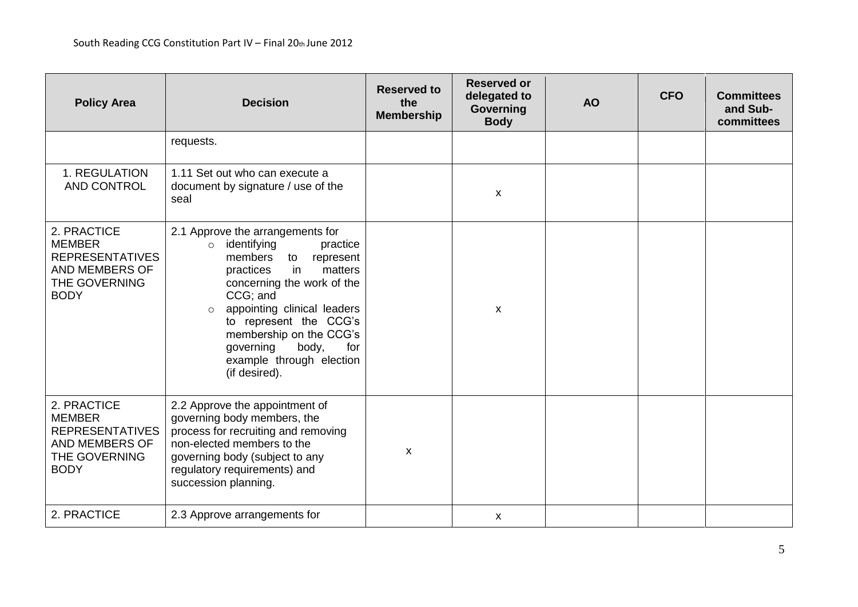| <b>Policy Area</b>                                                                                       | <b>Decision</b>                                                                                                                                                                                                                                                                                                                                       | <b>Reserved to</b><br>the<br><b>Membership</b> | <b>Reserved or</b><br>delegated to<br>Governing<br><b>Body</b> | <b>AO</b> | <b>CFO</b> | <b>Committees</b><br>and Sub-<br>committees |
|----------------------------------------------------------------------------------------------------------|-------------------------------------------------------------------------------------------------------------------------------------------------------------------------------------------------------------------------------------------------------------------------------------------------------------------------------------------------------|------------------------------------------------|----------------------------------------------------------------|-----------|------------|---------------------------------------------|
|                                                                                                          | requests.                                                                                                                                                                                                                                                                                                                                             |                                                |                                                                |           |            |                                             |
| 1. REGULATION<br>AND CONTROL                                                                             | 1.11 Set out who can execute a<br>document by signature / use of the<br>seal                                                                                                                                                                                                                                                                          |                                                | $\mathsf{x}$                                                   |           |            |                                             |
| 2. PRACTICE<br><b>MEMBER</b><br><b>REPRESENTATIVES</b><br>AND MEMBERS OF<br>THE GOVERNING<br><b>BODY</b> | 2.1 Approve the arrangements for<br>identifying<br>practice<br>$\circ$<br>members<br>to<br>represent<br>practices<br>in<br>matters<br>concerning the work of the<br>CCG; and<br>appointing clinical leaders<br>$\circ$<br>to represent the CCG's<br>membership on the CCG's<br>governing<br>body,<br>for<br>example through election<br>(if desired). |                                                | X                                                              |           |            |                                             |
| 2. PRACTICE<br><b>MEMBER</b><br><b>REPRESENTATIVES</b><br>AND MEMBERS OF<br>THE GOVERNING<br><b>BODY</b> | 2.2 Approve the appointment of<br>governing body members, the<br>process for recruiting and removing<br>non-elected members to the<br>governing body (subject to any<br>regulatory requirements) and<br>succession planning.                                                                                                                          | X                                              |                                                                |           |            |                                             |
| 2. PRACTICE                                                                                              | 2.3 Approve arrangements for                                                                                                                                                                                                                                                                                                                          |                                                | X                                                              |           |            |                                             |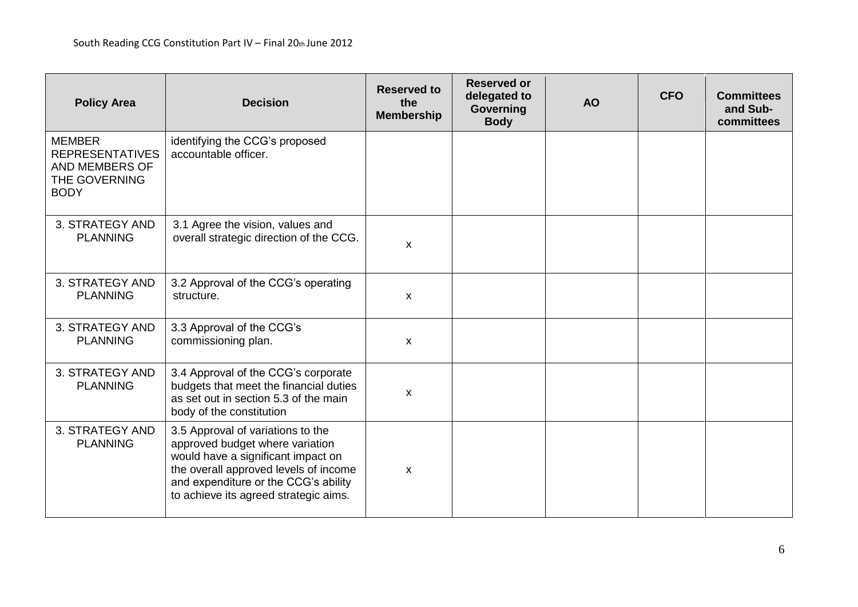| <b>Policy Area</b>                                                                        | <b>Decision</b>                                                                                                                                                                                                                      | <b>Reserved to</b><br>the<br><b>Membership</b> | <b>Reserved or</b><br>delegated to<br>Governing<br><b>Body</b> | <b>AO</b> | <b>CFO</b> | <b>Committees</b><br>and Sub-<br>committees |
|-------------------------------------------------------------------------------------------|--------------------------------------------------------------------------------------------------------------------------------------------------------------------------------------------------------------------------------------|------------------------------------------------|----------------------------------------------------------------|-----------|------------|---------------------------------------------|
| <b>MEMBER</b><br><b>REPRESENTATIVES</b><br>AND MEMBERS OF<br>THE GOVERNING<br><b>BODY</b> | identifying the CCG's proposed<br>accountable officer.                                                                                                                                                                               |                                                |                                                                |           |            |                                             |
| 3. STRATEGY AND<br><b>PLANNING</b>                                                        | 3.1 Agree the vision, values and<br>overall strategic direction of the CCG.                                                                                                                                                          | X                                              |                                                                |           |            |                                             |
| 3. STRATEGY AND<br><b>PLANNING</b>                                                        | 3.2 Approval of the CCG's operating<br>structure.                                                                                                                                                                                    | X                                              |                                                                |           |            |                                             |
| 3. STRATEGY AND<br><b>PLANNING</b>                                                        | 3.3 Approval of the CCG's<br>commissioning plan.                                                                                                                                                                                     | X                                              |                                                                |           |            |                                             |
| 3. STRATEGY AND<br><b>PLANNING</b>                                                        | 3.4 Approval of the CCG's corporate<br>budgets that meet the financial duties<br>as set out in section 5.3 of the main<br>body of the constitution                                                                                   | X                                              |                                                                |           |            |                                             |
| 3. STRATEGY AND<br><b>PLANNING</b>                                                        | 3.5 Approval of variations to the<br>approved budget where variation<br>would have a significant impact on<br>the overall approved levels of income<br>and expenditure or the CCG's ability<br>to achieve its agreed strategic aims. | X                                              |                                                                |           |            |                                             |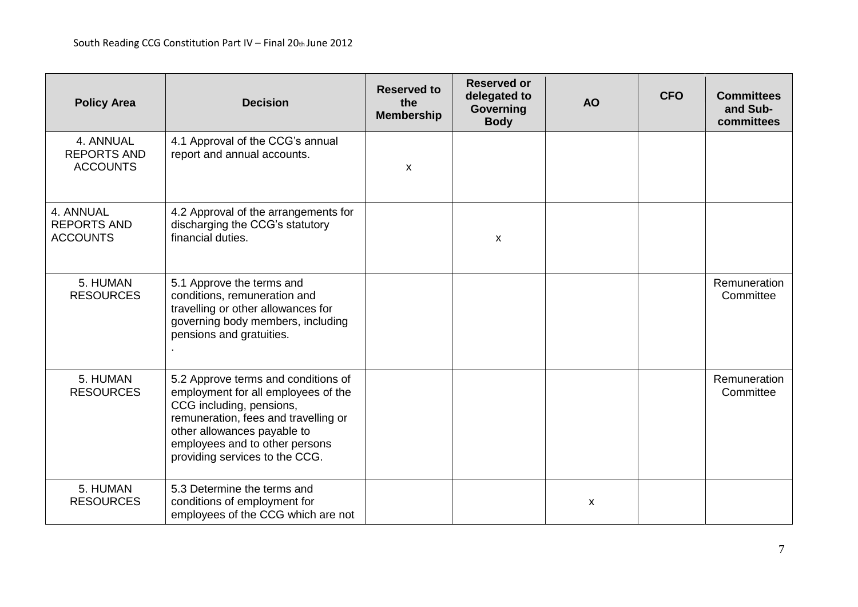| <b>Policy Area</b>                                 | <b>Decision</b>                                                                                                                                                                                                                                   | <b>Reserved to</b><br>the<br><b>Membership</b> | <b>Reserved or</b><br>delegated to<br>Governing<br><b>Body</b> | <b>AO</b>                 | <b>CFO</b> | <b>Committees</b><br>and Sub-<br>committees |
|----------------------------------------------------|---------------------------------------------------------------------------------------------------------------------------------------------------------------------------------------------------------------------------------------------------|------------------------------------------------|----------------------------------------------------------------|---------------------------|------------|---------------------------------------------|
| 4. ANNUAL<br><b>REPORTS AND</b><br><b>ACCOUNTS</b> | 4.1 Approval of the CCG's annual<br>report and annual accounts.                                                                                                                                                                                   | X                                              |                                                                |                           |            |                                             |
| 4. ANNUAL<br><b>REPORTS AND</b><br><b>ACCOUNTS</b> | 4.2 Approval of the arrangements for<br>discharging the CCG's statutory<br>financial duties.                                                                                                                                                      |                                                | $\boldsymbol{\mathsf{X}}$                                      |                           |            |                                             |
| 5. HUMAN<br><b>RESOURCES</b>                       | 5.1 Approve the terms and<br>conditions, remuneration and<br>travelling or other allowances for<br>governing body members, including<br>pensions and gratuities.                                                                                  |                                                |                                                                |                           |            | Remuneration<br>Committee                   |
| 5. HUMAN<br><b>RESOURCES</b>                       | 5.2 Approve terms and conditions of<br>employment for all employees of the<br>CCG including, pensions,<br>remuneration, fees and travelling or<br>other allowances payable to<br>employees and to other persons<br>providing services to the CCG. |                                                |                                                                |                           |            | Remuneration<br>Committee                   |
| 5. HUMAN<br><b>RESOURCES</b>                       | 5.3 Determine the terms and<br>conditions of employment for<br>employees of the CCG which are not                                                                                                                                                 |                                                |                                                                | $\boldsymbol{\mathsf{x}}$ |            |                                             |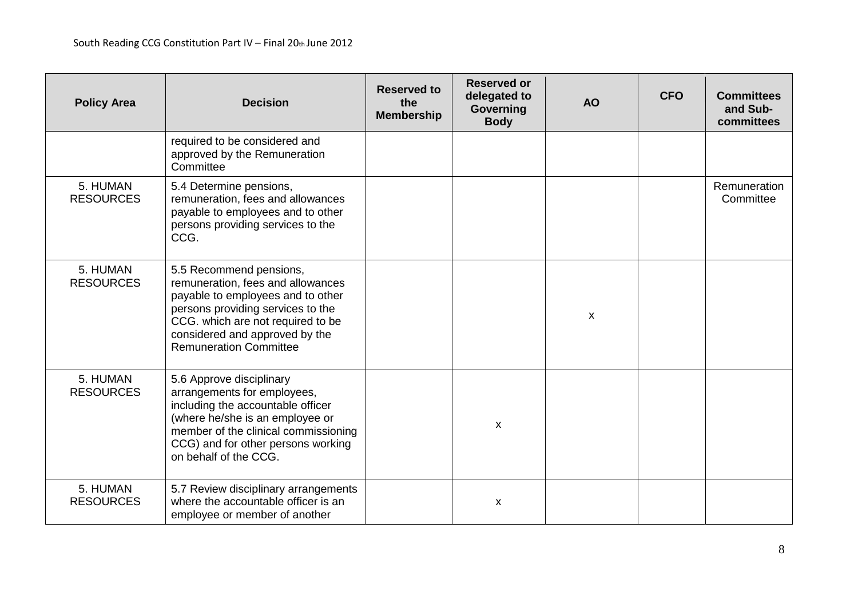| <b>Policy Area</b>           | <b>Decision</b>                                                                                                                                                                                                                                | <b>Reserved to</b><br>the<br><b>Membership</b> | <b>Reserved or</b><br>delegated to<br>Governing<br><b>Body</b> | <b>AO</b> | <b>CFO</b> | <b>Committees</b><br>and Sub-<br>committees |
|------------------------------|------------------------------------------------------------------------------------------------------------------------------------------------------------------------------------------------------------------------------------------------|------------------------------------------------|----------------------------------------------------------------|-----------|------------|---------------------------------------------|
|                              | required to be considered and<br>approved by the Remuneration<br>Committee                                                                                                                                                                     |                                                |                                                                |           |            |                                             |
| 5. HUMAN<br><b>RESOURCES</b> | 5.4 Determine pensions,<br>remuneration, fees and allowances<br>payable to employees and to other<br>persons providing services to the<br>CCG.                                                                                                 |                                                |                                                                |           |            | Remuneration<br>Committee                   |
| 5. HUMAN<br><b>RESOURCES</b> | 5.5 Recommend pensions,<br>remuneration, fees and allowances<br>payable to employees and to other<br>persons providing services to the<br>CCG. which are not required to be<br>considered and approved by the<br><b>Remuneration Committee</b> |                                                |                                                                | X         |            |                                             |
| 5. HUMAN<br><b>RESOURCES</b> | 5.6 Approve disciplinary<br>arrangements for employees,<br>including the accountable officer<br>(where he/she is an employee or<br>member of the clinical commissioning<br>CCG) and for other persons working<br>on behalf of the CCG.         |                                                | $\mathsf{x}$                                                   |           |            |                                             |
| 5. HUMAN<br><b>RESOURCES</b> | 5.7 Review disciplinary arrangements<br>where the accountable officer is an<br>employee or member of another                                                                                                                                   |                                                | $\mathsf{x}$                                                   |           |            |                                             |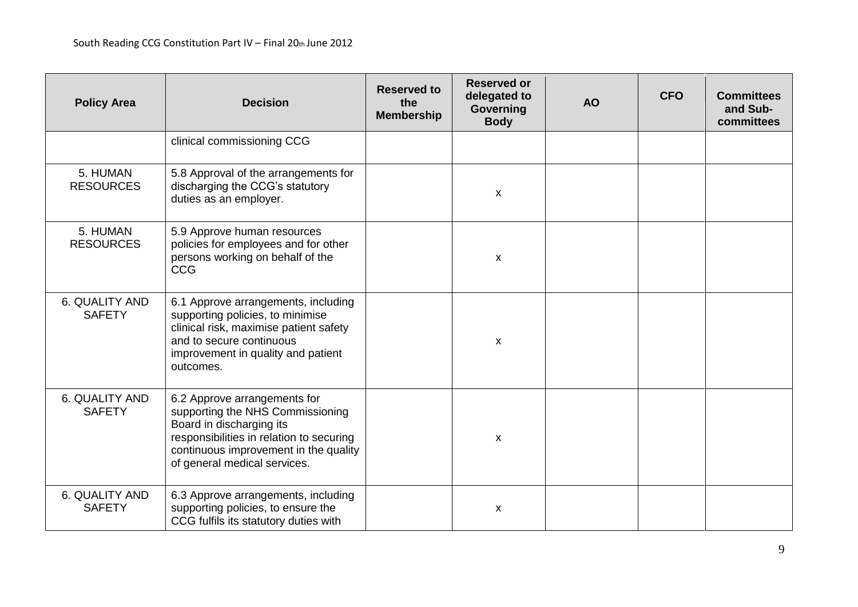| <b>Policy Area</b>              | <b>Decision</b>                                                                                                                                                                                                   | <b>Reserved to</b><br>the<br><b>Membership</b> | <b>Reserved or</b><br>delegated to<br>Governing<br><b>Body</b> | <b>AO</b> | <b>CFO</b> | <b>Committees</b><br>and Sub-<br>committees |
|---------------------------------|-------------------------------------------------------------------------------------------------------------------------------------------------------------------------------------------------------------------|------------------------------------------------|----------------------------------------------------------------|-----------|------------|---------------------------------------------|
|                                 | clinical commissioning CCG                                                                                                                                                                                        |                                                |                                                                |           |            |                                             |
| 5. HUMAN<br><b>RESOURCES</b>    | 5.8 Approval of the arrangements for<br>discharging the CCG's statutory<br>duties as an employer.                                                                                                                 |                                                | X                                                              |           |            |                                             |
| 5. HUMAN<br><b>RESOURCES</b>    | 5.9 Approve human resources<br>policies for employees and for other<br>persons working on behalf of the<br><b>CCG</b>                                                                                             |                                                | X                                                              |           |            |                                             |
| 6. QUALITY AND<br><b>SAFETY</b> | 6.1 Approve arrangements, including<br>supporting policies, to minimise<br>clinical risk, maximise patient safety<br>and to secure continuous<br>improvement in quality and patient<br>outcomes.                  |                                                | X                                                              |           |            |                                             |
| 6. QUALITY AND<br><b>SAFETY</b> | 6.2 Approve arrangements for<br>supporting the NHS Commissioning<br>Board in discharging its<br>responsibilities in relation to securing<br>continuous improvement in the quality<br>of general medical services. |                                                | X                                                              |           |            |                                             |
| 6. QUALITY AND<br><b>SAFETY</b> | 6.3 Approve arrangements, including<br>supporting policies, to ensure the<br>CCG fulfils its statutory duties with                                                                                                |                                                | X                                                              |           |            |                                             |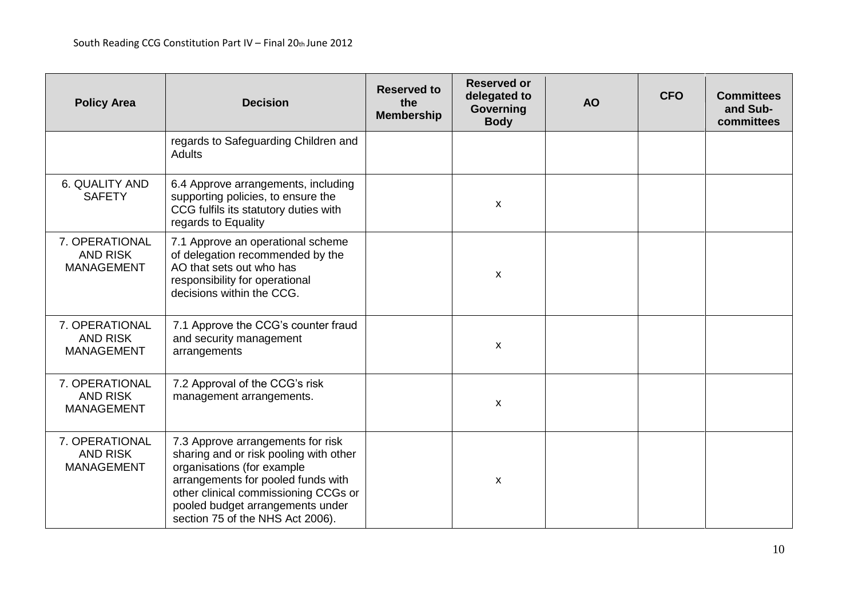| <b>Policy Area</b>                                     | <b>Decision</b>                                                                                                                                                                                                                                                 | <b>Reserved to</b><br>the<br><b>Membership</b> | <b>Reserved or</b><br>delegated to<br>Governing<br><b>Body</b> | <b>AO</b> | <b>CFO</b> | <b>Committees</b><br>and Sub-<br>committees |
|--------------------------------------------------------|-----------------------------------------------------------------------------------------------------------------------------------------------------------------------------------------------------------------------------------------------------------------|------------------------------------------------|----------------------------------------------------------------|-----------|------------|---------------------------------------------|
|                                                        | regards to Safeguarding Children and<br><b>Adults</b>                                                                                                                                                                                                           |                                                |                                                                |           |            |                                             |
| 6. QUALITY AND<br><b>SAFETY</b>                        | 6.4 Approve arrangements, including<br>supporting policies, to ensure the<br>CCG fulfils its statutory duties with<br>regards to Equality                                                                                                                       |                                                | X                                                              |           |            |                                             |
| 7. OPERATIONAL<br><b>AND RISK</b><br><b>MANAGEMENT</b> | 7.1 Approve an operational scheme<br>of delegation recommended by the<br>AO that sets out who has<br>responsibility for operational<br>decisions within the CCG.                                                                                                |                                                | $\mathsf{x}$                                                   |           |            |                                             |
| 7. OPERATIONAL<br><b>AND RISK</b><br><b>MANAGEMENT</b> | 7.1 Approve the CCG's counter fraud<br>and security management<br>arrangements                                                                                                                                                                                  |                                                | $\pmb{\times}$                                                 |           |            |                                             |
| 7. OPERATIONAL<br><b>AND RISK</b><br><b>MANAGEMENT</b> | 7.2 Approval of the CCG's risk<br>management arrangements.                                                                                                                                                                                                      |                                                | X                                                              |           |            |                                             |
| 7. OPERATIONAL<br><b>AND RISK</b><br><b>MANAGEMENT</b> | 7.3 Approve arrangements for risk<br>sharing and or risk pooling with other<br>organisations (for example<br>arrangements for pooled funds with<br>other clinical commissioning CCGs or<br>pooled budget arrangements under<br>section 75 of the NHS Act 2006). |                                                | X                                                              |           |            |                                             |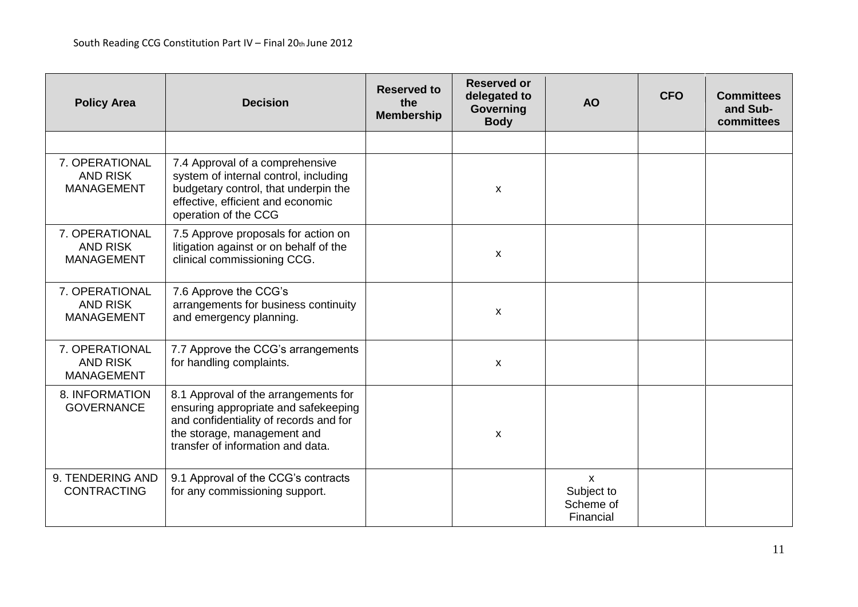| <b>Policy Area</b>                                     | <b>Decision</b>                                                                                                                                                                            | <b>Reserved to</b><br>the<br><b>Membership</b> | <b>Reserved or</b><br>delegated to<br><b>Governing</b><br><b>Body</b> | <b>AO</b>                                            | <b>CFO</b> | <b>Committees</b><br>and Sub-<br>committees |
|--------------------------------------------------------|--------------------------------------------------------------------------------------------------------------------------------------------------------------------------------------------|------------------------------------------------|-----------------------------------------------------------------------|------------------------------------------------------|------------|---------------------------------------------|
|                                                        |                                                                                                                                                                                            |                                                |                                                                       |                                                      |            |                                             |
| 7. OPERATIONAL<br><b>AND RISK</b><br><b>MANAGEMENT</b> | 7.4 Approval of a comprehensive<br>system of internal control, including<br>budgetary control, that underpin the<br>effective, efficient and economic<br>operation of the CCG              |                                                | X                                                                     |                                                      |            |                                             |
| 7. OPERATIONAL<br><b>AND RISK</b><br><b>MANAGEMENT</b> | 7.5 Approve proposals for action on<br>litigation against or on behalf of the<br>clinical commissioning CCG.                                                                               |                                                | X                                                                     |                                                      |            |                                             |
| 7. OPERATIONAL<br><b>AND RISK</b><br><b>MANAGEMENT</b> | 7.6 Approve the CCG's<br>arrangements for business continuity<br>and emergency planning.                                                                                                   |                                                | $\boldsymbol{\mathsf{X}}$                                             |                                                      |            |                                             |
| 7. OPERATIONAL<br><b>AND RISK</b><br><b>MANAGEMENT</b> | 7.7 Approve the CCG's arrangements<br>for handling complaints.                                                                                                                             |                                                | X                                                                     |                                                      |            |                                             |
| 8. INFORMATION<br><b>GOVERNANCE</b>                    | 8.1 Approval of the arrangements for<br>ensuring appropriate and safekeeping<br>and confidentiality of records and for<br>the storage, management and<br>transfer of information and data. |                                                | X                                                                     |                                                      |            |                                             |
| 9. TENDERING AND<br><b>CONTRACTING</b>                 | 9.1 Approval of the CCG's contracts<br>for any commissioning support.                                                                                                                      |                                                |                                                                       | $\mathsf{x}$<br>Subject to<br>Scheme of<br>Financial |            |                                             |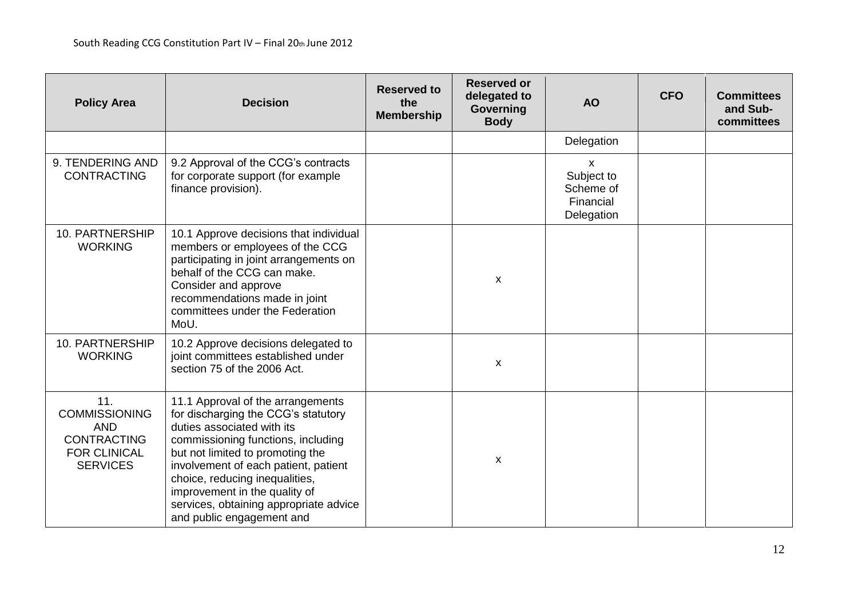| <b>Policy Area</b>                                                                                        | <b>Decision</b>                                                                                                                                                                                                                                                                                                                                                    | <b>Reserved to</b><br>the<br><b>Membership</b> | <b>Reserved or</b><br>delegated to<br><b>Governing</b><br><b>Body</b> | <b>AO</b>                                                          | <b>CFO</b> | <b>Committees</b><br>and Sub-<br>committees |
|-----------------------------------------------------------------------------------------------------------|--------------------------------------------------------------------------------------------------------------------------------------------------------------------------------------------------------------------------------------------------------------------------------------------------------------------------------------------------------------------|------------------------------------------------|-----------------------------------------------------------------------|--------------------------------------------------------------------|------------|---------------------------------------------|
|                                                                                                           |                                                                                                                                                                                                                                                                                                                                                                    |                                                |                                                                       | Delegation                                                         |            |                                             |
| 9. TENDERING AND<br><b>CONTRACTING</b>                                                                    | 9.2 Approval of the CCG's contracts<br>for corporate support (for example<br>finance provision).                                                                                                                                                                                                                                                                   |                                                |                                                                       | $\mathsf{x}$<br>Subject to<br>Scheme of<br>Financial<br>Delegation |            |                                             |
| 10. PARTNERSHIP<br><b>WORKING</b>                                                                         | 10.1 Approve decisions that individual<br>members or employees of the CCG<br>participating in joint arrangements on<br>behalf of the CCG can make.<br>Consider and approve<br>recommendations made in joint<br>committees under the Federation<br>MoU.                                                                                                             |                                                | $\boldsymbol{\mathsf{x}}$                                             |                                                                    |            |                                             |
| 10. PARTNERSHIP<br><b>WORKING</b>                                                                         | 10.2 Approve decisions delegated to<br>joint committees established under<br>section 75 of the 2006 Act.                                                                                                                                                                                                                                                           |                                                | X                                                                     |                                                                    |            |                                             |
| 11.<br><b>COMMISSIONING</b><br><b>AND</b><br><b>CONTRACTING</b><br><b>FOR CLINICAL</b><br><b>SERVICES</b> | 11.1 Approval of the arrangements<br>for discharging the CCG's statutory<br>duties associated with its<br>commissioning functions, including<br>but not limited to promoting the<br>involvement of each patient, patient<br>choice, reducing inequalities,<br>improvement in the quality of<br>services, obtaining appropriate advice<br>and public engagement and |                                                | X                                                                     |                                                                    |            |                                             |